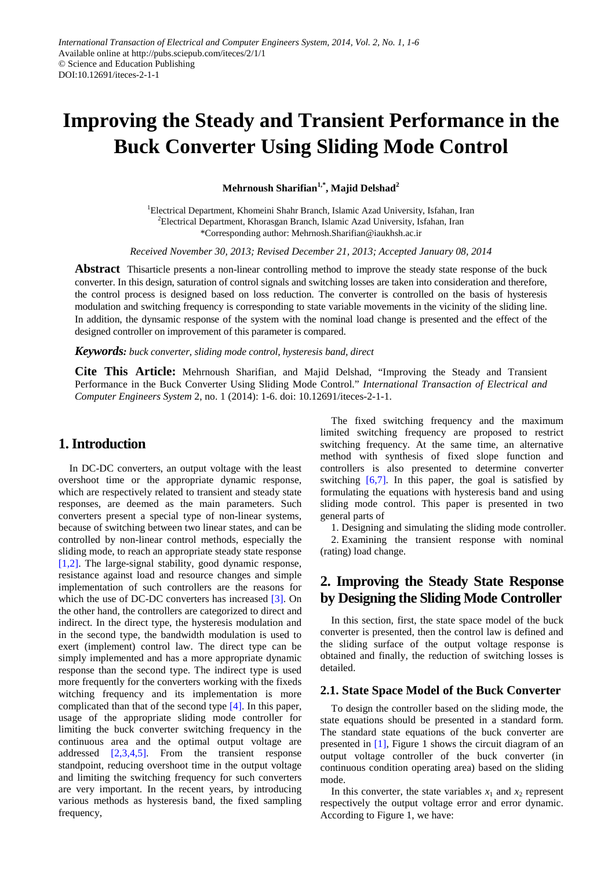# **Improving the Steady and Transient Performance in the Buck Converter Using Sliding Mode Control**

**Mehrnoush Sharifian1,\*, Majid Delshad2**

<sup>1</sup>Electrical Department, Khomeini Shahr Branch, Islamic Azad University, Isfahan, Iran <sup>2</sup> Electrical Department, Khorasgan Branch, Islamic Azad University, Isfahan, Iran \*Corresponding author: Mehrnosh.Sharifian@iaukhsh.ac.ir

*Received November 30, 2013; Revised December 21, 2013; Accepted January 08, 2014*

**Abstract** Thisarticle presents a non-linear controlling method to improve the steady state response of the buck converter. In this design, saturation of control signals and switching losses are taken into consideration and therefore, the control process is designed based on loss reduction. The converter is controlled on the basis of hysteresis modulation and switching frequency is corresponding to state variable movements in the vicinity of the sliding line. In addition, the dynsamic response of the system with the nominal load change is presented and the effect of the designed controller on improvement of this parameter is compared.

*Keywords: buck converter, sliding mode control, hysteresis band, direct*

**Cite This Article:** Mehrnoush Sharifian, and Majid Delshad, "Improving the Steady and Transient Performance in the Buck Converter Using Sliding Mode Control." *International Transaction of Electrical and Computer Engineers System* 2, no. 1 (2014): 1-6. doi: 10.12691/iteces-2-1-1.

# **1. Introduction**

In DC-DC converters, an output voltage with the least overshoot time or the appropriate dynamic response, which are respectively related to transient and steady state responses, are deemed as the main parameters. Such converters present a special type of non-linear systems, because of switching between two linear states, and can be controlled by non-linear control methods, especially the sliding mode, to reach an appropriate steady state response [\[1,2\].](#page-4-0) The large-signal stability, good dynamic response, resistance against load and resource changes and simple implementation of such controllers are the reasons for which the use of DC-DC converters has increased [\[3\].](#page-4-1) On the other hand, the controllers are categorized to direct and indirect. In the direct type, the hysteresis modulation and in the second type, the bandwidth modulation is used to exert (implement) control law. The direct type can be simply implemented and has a more appropriate dynamic response than the second type. The indirect type is used more frequently for the converters working with the fixeds witching frequency and its implementation is more complicated than that of the second type [\[4\].](#page-4-2) In this paper, usage of the appropriate sliding mode controller for limiting the buck converter switching frequency in the continuous area and the optimal output voltage are addressed [\[2,3,4,5\].](#page-4-3) From the transient response standpoint, reducing overshoot time in the output voltage and limiting the switching frequency for such converters are very important. In the recent years, by introducing various methods as hysteresis band, the fixed sampling frequency,

The fixed switching frequency and the maximum limited switching frequency are proposed to restrict switching frequency. At the same time, an alternative method with synthesis of fixed slope function and controllers is also presented to determine converter switching [\[6,7\].](#page-5-0) In this paper, the goal is satisfied by formulating the equations with hysteresis band and using sliding mode control. This paper is presented in two general parts of

1. Designing and simulating the sliding mode controller. 2. Examining the transient response with nominal (rating) load change.

# **2. Improving the Steady State Response by Designing the Sliding Mode Controller**

In this section, first, the state space model of the buck converter is presented, then the control law is defined and the sliding surface of the output voltage response is obtained and finally, the reduction of switching losses is detailed.

## **2.1. State Space Model of the Buck Converter**

To design the controller based on the sliding mode, the state equations should be presented in a standard form. The standard state equations of the buck converter are presented in [\[1\],](#page-4-0) Figure 1 shows the circuit diagram of an output voltage controller of the buck converter (in continuous condition operating area) based on the sliding mode.

In this converter, the state variables  $x_1$  and  $x_2$  represent respectively the output voltage error and error dynamic. According to Figure 1, we have: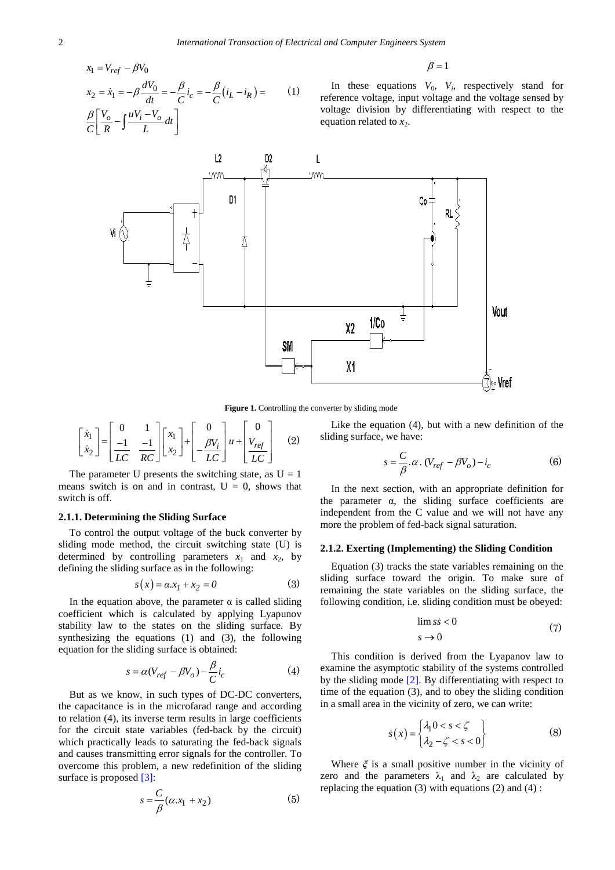$$
x_1 = V_{ref} - \beta V_0
$$
  
\n
$$
x_2 = \dot{x}_1 = -\beta \frac{dV_0}{dt} = -\frac{\beta}{C} i_c = -\frac{\beta}{C} (i_L - i_R) =
$$
  
\n
$$
\frac{\beta}{C} \left[ \frac{V_o}{R} - \int \frac{uV_i - V_o}{L} dt \right]
$$
 (1)

 $\beta = 1$ 

In these equations  $V_0$ ,  $V_i$ , respectively stand for reference voltage, input voltage and the voltage sensed by voltage division by differentiating with respect to the equation related to  $x_2$ .



**Figure 1.** Controlling the converter by sliding mode

$$
\begin{bmatrix} \dot{x}_1 \\ \dot{x}_2 \end{bmatrix} = \begin{bmatrix} 0 & 1 \\ \frac{-1}{LC} & \frac{-1}{RC} \end{bmatrix} \begin{bmatrix} x_1 \\ x_2 \end{bmatrix} + \begin{bmatrix} 0 \\ -\frac{\beta V_i}{LC} \end{bmatrix} u + \begin{bmatrix} 0 \\ V_{ref} \\ \frac{V_{ref}}{LC} \end{bmatrix}
$$
 (2)

The parameter U presents the switching state, as  $U = 1$ means switch is on and in contrast,  $U = 0$ , shows that switch is off.

### **2.1.1. Determining the Sliding Surface**

To control the output voltage of the buck converter by sliding mode method, the circuit switching state (U) is determined by controlling parameters  $x_1$  and  $x_2$ , by defining the sliding surface as in the following:

$$
s(x) = a \cdot x_1 + x_2 = 0 \tag{3}
$$

In the equation above, the parameter  $\alpha$  is called sliding coefficient which is calculated by applying Lyapunov stability law to the states on the sliding surface. By synthesizing the equations (1) and (3), the following equation for the sliding surface is obtained:

$$
s = \alpha (V_{ref} - \beta V_o) - \frac{\beta}{C} i_c \tag{4}
$$

But as we know, in such types of DC-DC converters, the capacitance is in the microfarad range and according to relation (4), its inverse term results in large coefficients for the circuit state variables (fed-back by the circuit) which practically leads to saturating the fed-back signals and causes transmitting error signals for the controller. To overcome this problem, a new redefinition of the sliding surface is proposed [\[3\]:](#page-4-1)

$$
s = \frac{C}{\beta}(\alpha x_1 + x_2)
$$
 (5)

Like the equation (4), but with a new definition of the sliding surface, we have:

$$
s = \frac{C}{\beta} \cdot \alpha \cdot (V_{ref} - \beta V_o) - i_c \tag{6}
$$

In the next section, with an appropriate definition for the parameter  $\alpha$ , the sliding surface coefficients are independent from the C value and we will not have any more the problem of fed-back signal saturation.

## **2.1.2. Exerting (Implementing) the Sliding Condition**

Equation (3) tracks the state variables remaining on the sliding surface toward the origin. To make sure of remaining the state variables on the sliding surface, the following condition, i.e. sliding condition must be obeyed:

$$
\lim s \dot{s} < 0 \tag{7}
$$
\n
$$
s \to 0
$$

This condition is derived from the Lyapanov law to examine the asymptotic stability of the systems controlled by the sliding mode [\[2\].](#page-4-3) By differentiating with respect to time of the equation (3), and to obey the sliding condition in a small area in the vicinity of zero, we can write:

$$
\dot{s}(x) = \begin{cases} \lambda_1 0 < s < \zeta \\ \lambda_2 - \zeta < s < 0 \end{cases} \tag{8}
$$

Where *ξ* is a small positive number in the vicinity of zero and the parameters  $\lambda_1$  and  $\lambda_2$  are calculated by replacing the equation  $(3)$  with equations  $(2)$  and  $(4)$ :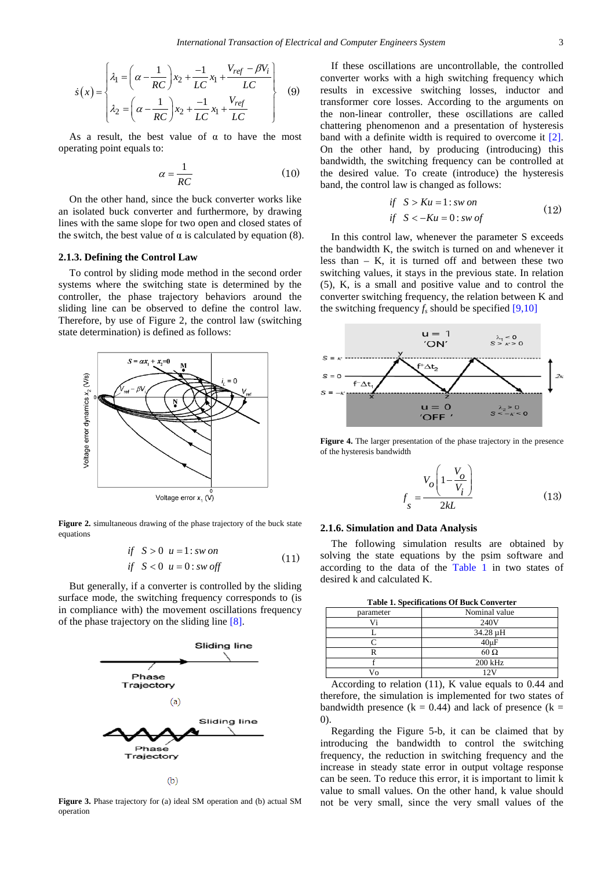$$
\dot{s}(x) = \begin{cases} \lambda_1 = \left(\alpha - \frac{1}{RC}\right) x_2 + \frac{-1}{LC} x_1 + \frac{V_{ref} - \beta V_i}{LC} \\ \lambda_2 = \left(\alpha - \frac{1}{RC}\right) x_2 + \frac{-1}{LC} x_1 + \frac{V_{ref}}{LC} \end{cases}
$$
(9)

As a result, the best value of  $\alpha$  to have the most operating point equals to:

$$
\alpha = \frac{1}{RC} \tag{10}
$$

On the other hand, since the buck converter works like an isolated buck converter and furthermore, by drawing lines with the same slope for two open and closed states of the switch, the best value of  $\alpha$  is calculated by equation (8).

## **2.1.3. Defining the Control Law**

To control by sliding mode method in the second order systems where the switching state is determined by the controller, the phase trajectory behaviors around the sliding line can be observed to define the control law. Therefore, by use of Figure 2, the control law (switching state determination) is defined as follows:



**Figure 2.** simultaneous drawing of the phase trajectory of the buck state equations

$$
if S > 0 u = 1: sw on
$$
  

$$
if S < 0 u = 0: sw off
$$
 (11)

But generally, if a converter is controlled by the sliding surface mode, the switching frequency corresponds to (is in compliance with) the movement oscillations frequency of the phase trajectory on the sliding line [\[8\].](#page-5-1)



**Figure 3.** Phase trajectory for (a) ideal SM operation and (b) actual SM operation

If these oscillations are uncontrollable, the controlled converter works with a high switching frequency which results in excessive switching losses, inductor and transformer core losses. According to the arguments on the non-linear controller, these oscillations are called chattering phenomenon and a presentation of hysteresis band with a definite width is required to overcome it [\[2\].](#page-4-3) On the other hand, by producing (introducing) this bandwidth, the switching frequency can be controlled at the desired value. To create (introduce) the hysteresis band, the control law is changed as follows:

$$
if S > Ku = 1: sw on
$$
  
if S  $< -Ku = 0: sw of$  (12)

In this control law, whenever the parameter S exceeds the bandwidth K, the switch is turned on and whenever it less than  $-$  K, it is turned off and between these two switching values, it stays in the previous state. In relation (5), K, is a small and positive value and to control the converter switching frequency, the relation between K and the switching frequency  $f_s$  should be specified [\[9,10\]](#page-5-2)



**Figure 4.** The larger presentation of the phase trajectory in the presence of the hysteresis bandwidth

$$
f_s = \frac{V_o \left(1 - \frac{V_o}{V_i}\right)}{2kL}
$$
 (13)

#### **2.1.6. Simulation and Data Analysis**

The following simulation results are obtained by solving the state equations by the psim software and according to the data of the [Table 1](#page-2-0) in two states of desired k and calculated K.

<span id="page-2-0"></span>

| <b>Table 1. Specifications Of Buck Converter</b> |  |
|--------------------------------------------------|--|
|--------------------------------------------------|--|

| parameter      | Nominal value |
|----------------|---------------|
|                | 240V          |
|                | 34.28 µH      |
|                | $40 \mu F$    |
|                | $60\Omega$    |
|                | 200 kHz       |
| 7 <sub>0</sub> | 12V           |

According to relation (11), K value equals to 0.44 and therefore, the simulation is implemented for two states of bandwidth presence ( $k = 0.44$ ) and lack of presence ( $k =$ 0).

Regarding the Figure 5-b, it can be claimed that by introducing the bandwidth to control the switching frequency, the reduction in switching frequency and the increase in steady state error in output voltage response can be seen. To reduce this error, it is important to limit k value to small values. On the other hand, k value should not be very small, since the very small values of the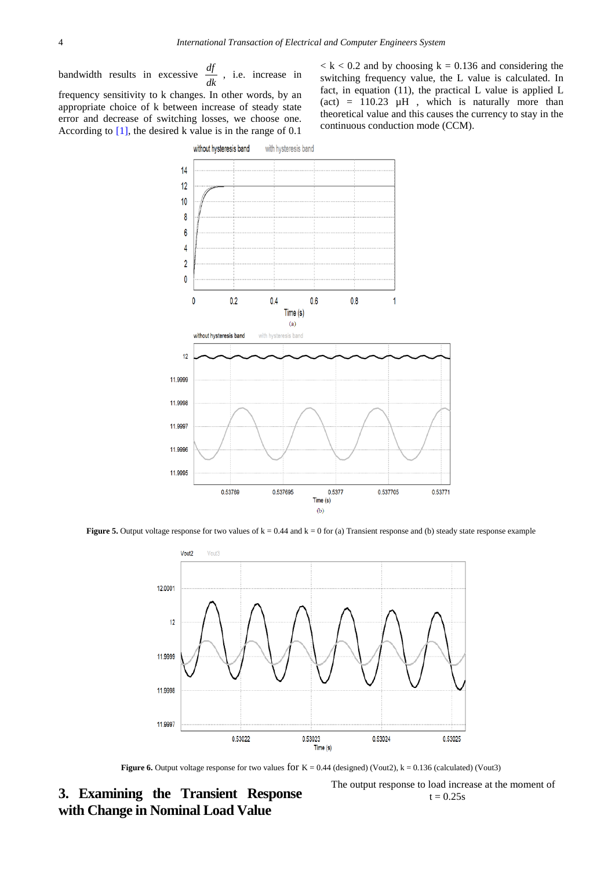bandwidth results in excessive  $\frac{df}{dk}$ , i.e. increase in frequency sensitivity to k changes. In other words, by an appropriate choice of k between increase of steady state error and decrease of switching losses, we choose one. According to  $[1]$ , the desired k value is in the range of 0.1

 $k < k < 0.2$  and by choosing  $k = 0.136$  and considering the switching frequency value, the L value is calculated. In fact, in equation (11), the practical L value is applied L (act) =  $110.23 \mu H$ , which is naturally more than theoretical value and this causes the currency to stay in the continuous conduction mode (CCM).



**Figure 5.** Output voltage response for two values of  $k = 0.44$  and  $k = 0$  for (a) Transient response and (b) steady state response example



**Figure 6.** Output voltage response for two values for  $K = 0.44$  (designed) (Vout2),  $k = 0.136$  (calculated) (Vout3)

**3. Examining the Transient Response with Change in Nominal Load Value**

The output response to load increase at the moment of  $t = 0.25s$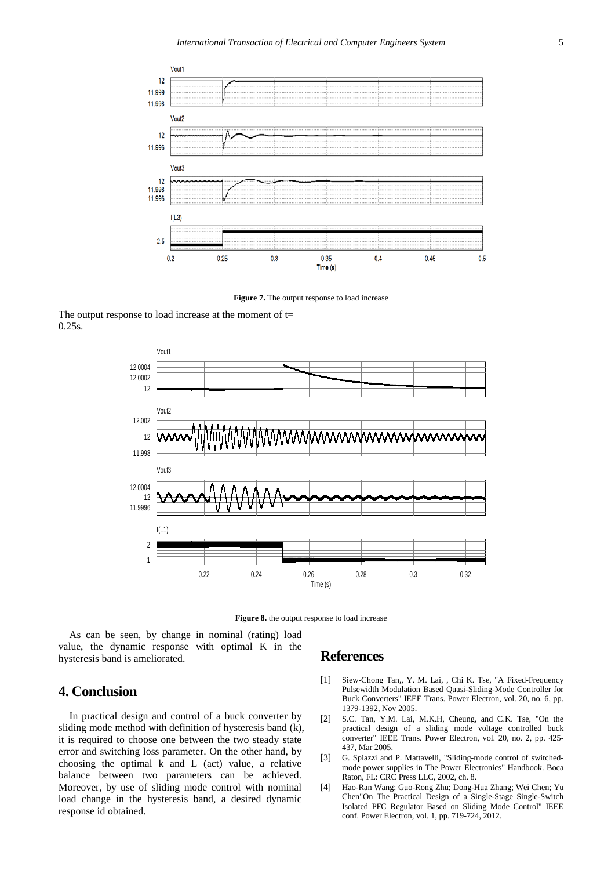

**Figure 7.** The output response to load increase

The output response to load increase at the moment of  $t=$ 0.25s.



**Figure 8.** the output response to load increase

As can be seen, by change in nominal (rating) load value, the dynamic response with optimal K in the hysteresis band is ameliorated.

# **References**

- <span id="page-4-0"></span>[1] Siew-Chong Tan*,*, Y. M. Lai*,* , Chi K. Tse*,* "A Fixed-Frequency Pulsewidth Modulation Based Quasi-Sliding-Mode Controller for Buck Converters" IEEE Trans. Power Electron, vol. 20, no. 6, pp. 1379-1392, Nov 2005.
- <span id="page-4-3"></span>[2] S.C. Tan, Y.M. Lai, M.K.H, Cheung, and C.K. Tse, "On the practical design of a sliding mode voltage controlled buck converter" IEEE Trans. Power Electron, vol. 20, no. 2, pp. 425- 437, Mar 2005.
- <span id="page-4-1"></span>[3] G. Spiazzi and P. Mattavelli, "Sliding-mode control of switchedmode power supplies in The Power Electronics" Handbook. Boca Raton, FL: CRC Press LLC, 2002, ch. 8.
- <span id="page-4-2"></span>[4] Hao-Ran Wang; Guo-Rong Zhu; Dong-Hua Zhang; Wei Chen; Yu Chen"On The Practical Design of a Single-Stage Single-Switch Isolated PFC Regulator Based on Sliding Mode Control" IEEE conf. Power Electron, vol. 1, pp. 719-724, 2012.

# **4. Conclusion**

In practical design and control of a buck converter by sliding mode method with definition of hysteresis band (k), it is required to choose one between the two steady state error and switching loss parameter. On the other hand, by choosing the optimal k and L (act) value, a relative balance between two parameters can be achieved. Moreover, by use of sliding mode control with nominal load change in the hysteresis band, a desired dynamic response id obtained.